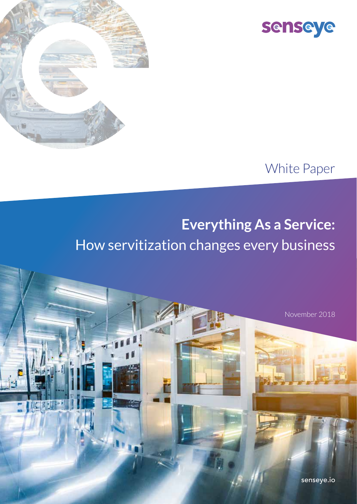



#### White Paper

## **Everything As a Service:** How servitization changes every business

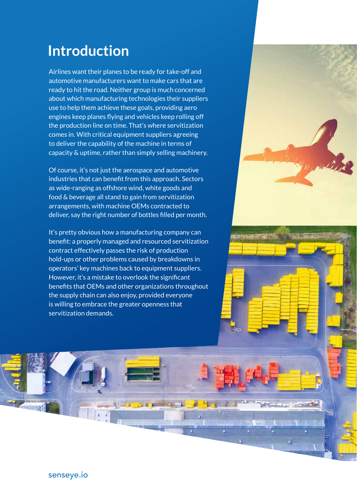#### **Introduction**

Airlines want their planes to be ready for take-off and automotive manufacturers want to make cars that are ready to hit the road. Neither group is much concerned about which manufacturing technologies their suppliers use to help them achieve these goals, providing aero engines keep planes flying and vehicles keep rolling off the production line on time. That's where servitization comes in. With critical equipment suppliers agreeing to deliver the capability of the machine in terms of capacity & uptime, rather than simply selling machinery.

Of course, it's not just the aerospace and automotive industries that can benefit from this approach. Sectors as wide-ranging as offshore wind, white goods and food & beverage all stand to gain from servitization arrangements, with machine OEMs contracted to deliver, say the right number of bottles filled per month.

It's pretty obvious how a manufacturing company can benefit: a properly managed and resourced servitization contract effectively passes the risk of production hold-ups or other problems caused by breakdowns in operators' key machines back to equipment suppliers. However, it's a mistake to overlook the significant benefits that OEMs and other organizations throughout the supply chain can also enjoy, provided everyone is willing to embrace the greater openness that servitization demands.



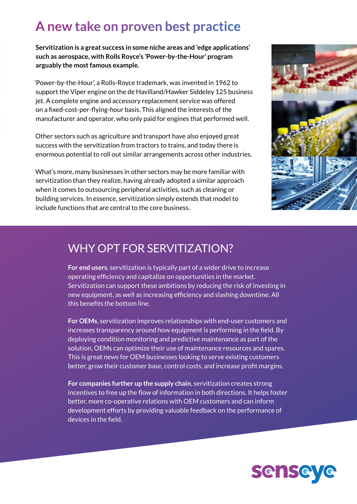#### **A new take on proven best practice**

**Servitization is a great success in some niche areas and 'edge applications' such as aerospace, with Rolls Royce's 'Power-by-the-Hour' program arguably the most famous example.** 

'Power-by-the-Hour', a Rolls-Royce trademark, was invented in 1962 to support the Viper engine on the de Havilland/Hawker Siddeley 125 business jet. A complete engine and accessory replacement service was offered on a fixed-cost-per-flying-hour basis. This aligned the interests of the manufacturer and operator, who only paid for engines that performed well.

Other sectors such as agriculture and transport have also enjoyed great success with the servitization from tractors to trains, and today there is enormous potential to roll out similar arrangements across other industries.

What's more, many businesses in other sectors may be more familiar with servitization than they realize, having already adopted a similar approach when it comes to outsourcing peripheral activities, such as cleaning or building services. In essence, servitization simply extends that model to include functions that are central to the core business.



#### WHY OPT FOR SERVITIZATION?

**For end users**, servitization is typically part of a wider drive to increase operating efficiency and capitalize on opportunities in the market. Servitization can support these ambitions by reducing the risk of investing in new equipment, as well as increasing efficiency and slashing downtime. All this benefits the bottom line.

**For OEMs**, servitization improves relationships with end-user customers and increases transparency around how equipment is performing in the field. By deploying condition monitoring and predictive maintenance as part of the solution, OEMs can optimize their use of maintenance resources and spares. This is great news for OEM businesses looking to serve existing customers better, grow their customer base, control costs, and increase profit margins.

**For companies further up the supply chain**, servitization creates strong incentives to free up the flow of information in both directions. It helps foster better, more co-operative relations with OEM customers and can inform development efforts by providing valuable feedback on the performance of devices in the field.

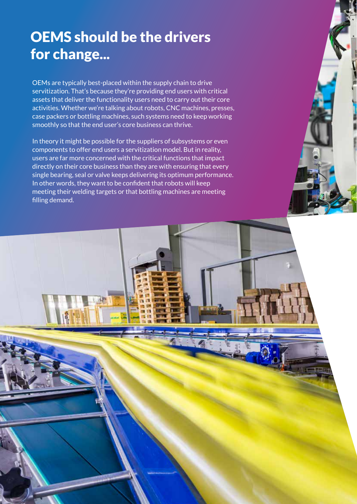### OEMS should be the drivers for change...

OEMs are typically best-placed within the supply chain to drive servitization. That's because they're providing end users with critical assets that deliver the functionality users need to carry out their core activities. Whether we're talking about robots, CNC machines, presses, case packers or bottling machines, such systems need to keep working smoothly so that the end user's core business can thrive.

In theory it might be possible for the suppliers of subsystems or even components to offer end users a servitization model. But in reality, users are far more concerned with the critical functions that impact directly on their core business than they are with ensuring that every single bearing, seal or valve keeps delivering its optimum performance. In other words, they want to be confident that robots will keep meeting their welding targets or that bottling machines are meeting filling demand.

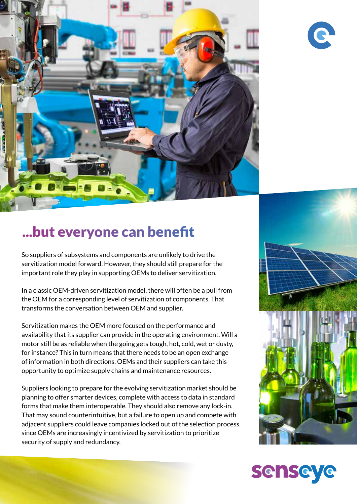



#### ...but everyone can benefit

So suppliers of subsystems and components are unlikely to drive the servitization model forward. However, they should still prepare for the important role they play in supporting OEMs to deliver servitization.

In a classic OEM-driven servitization model, there will often be a pull from the OEM for a corresponding level of servitization of components. That transforms the conversation between OEM and supplier.

Servitization makes the OEM more focused on the performance and availability that its supplier can provide in the operating environment. Will a motor still be as reliable when the going gets tough, hot, cold, wet or dusty, for instance? This in turn means that there needs to be an open exchange of information in both directions. OEMs and their suppliers can take this opportunity to optimize supply chains and maintenance resources.

Suppliers looking to prepare for the evolving servitization market should be planning to offer smarter devices, complete with access to data in standard forms that make them interoperable. They should also remove any lock-in. That may sound counterintuitive, but a failure to open up and compete with adjacent suppliers could leave companies locked out of the selection process, since OEMs are increasingly incentivized by servitization to prioritize security of supply and redundancy.



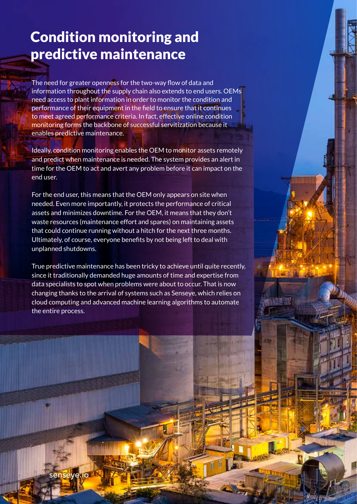#### Condition monitoring and predictive maintenance

The need for greater openness for the two-way flow of data and information throughout the supply chain also extends to end users. OEMs need access to plant information in order to monitor the condition and performance of their equipment in the field to ensure that it continues to meet agreed performance criteria. In fact, effective online condition monitoring forms the backbone of successful servitization because it enables predictive maintenance.

Ideally, condition monitoring enables the OEM to monitor assets remotely and predict when maintenance is needed. The system provides an alert in time for the OEM to act and avert any problem before it can impact on the end user.

For the end user, this means that the OEM only appears on site when needed. Even more importantly, it protects the performance of critical assets and minimizes downtime. For the OEM, it means that they don't waste resources (maintenance effort and spares) on maintaining assets that could continue running without a hitch for the next three months. Ultimately, of course, everyone benefits by not being left to deal with unplanned shutdowns.

True predictive maintenance has been tricky to achieve until quite recently, since it traditionally demanded huge amounts of time and expertise from data specialists to spot when problems were about to occur. That is now changing thanks to the arrival of systems such as Senseye, which relies on cloud computing and advanced machine learning algorithms to automate the entire process.

senseye.io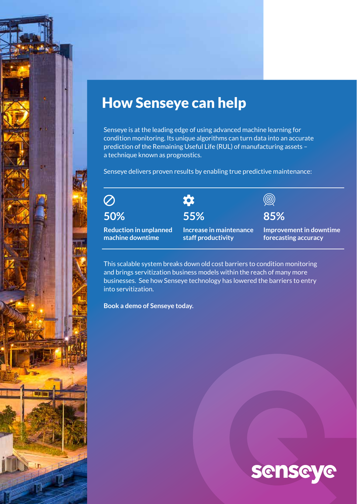#### How Senseye can help

Senseye is at the leading edge of using advanced machine learning for condition monitoring. Its unique algorithms can turn data into an accurate prediction of the Remaining Useful Life (RUL) of manufacturing assets – a technique known as prognostics.

Senseye delivers proven results by enabling true predictive maintenance:

 $\overline{\textcircled{\circ}}$ 

 $\bullet$ **50% 55%**  $\circledcirc$ 

**85%**

**Improvement in downtime forecasting accuracy**

This scalable system breaks down old cost barriers to condition monitoring and brings servitization business models within the reach of many more businesses. See how Senseye technology has lowered the barriers to entry into servitization.

**staff productivity**

**Increase in maintenance** 

**Book a demo of Senseye today.**

**Reduction in unplanned machine downtime**

# **senseye**